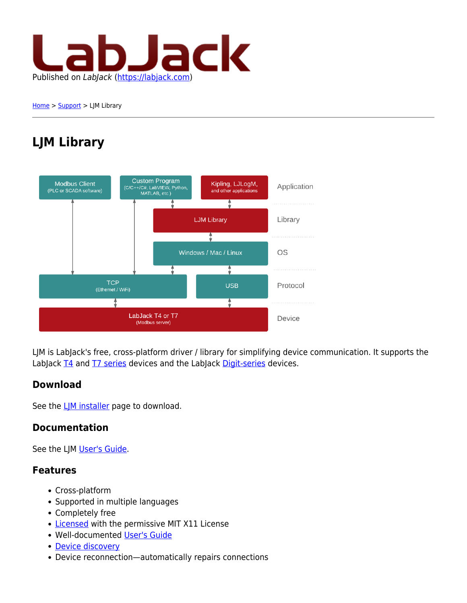

[Home](https://labjack.com/) > [Support](https://labjack.com/support) > LJM Library

# **LJM Library**



LJM is LabJack's free, cross-platform driver / library for simplifying device communication. It supports the LabJack [T4](https://labjack.com/products/t4) and [T7 series](https://labjack.com/products/t7) devices and the LabJack [Digit-series](https://labjack.com/products/digit) devices.

### **Download**

See the LIM installer page to download.

### **Documentation**

See the LJM [User's Guide](https://labjack.com/support/ljm/users-guide).

### **Features**

- Cross-platform
- Supported in multiple languages
- Completely free
- [Licensed](https://labjack.com/support/faq/what-labjack-software-licensed-under) with the permissive MIT X11 License
- Well-documented [User's Guide](https://labjack.com/support/ljm/users-guide)
- [Device discovery](https://labjack.com/support/ljm/users-guide/function-reference/device-information#deviceDiscovery)
- Device reconnection—automatically repairs connections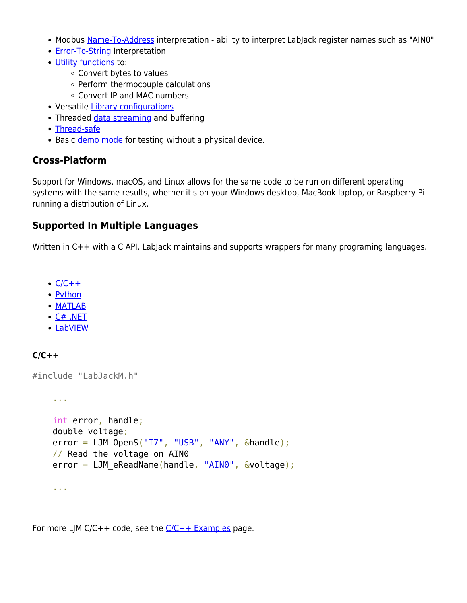- Modbus [Name-To-Address](https://labjack.com/support/ljm/users-guide/function-reference/utility/ljmnametoaddress) interpretation ability to interpret LabJack register names such as "AIN0"
- [Error-To-String](https://labjack.com/support/ljm/users-guide/function-reference/utility/ljmerrortostring) Interpretation
- [Utility functions](https://labjack.com/support/ljm/users-guide/function-reference/utility) to:
	- Convert bytes to values
	- Perform thermocouple calculations
	- Convert IP and MAC numbers
- Versatile [Library configurations](https://labjack.com/support/ljm/users-guide/function-reference/library-configuration-functions)
- Threaded [data streaming](https://labjack.com/support/ljm/users-guide/function-reference/ljmestreamstart) and buffering
- [Thread-safe](https://labjack.com/support/software/api/ljm/thread-safe)
- Basic [demo mode](https://labjack.com/support/software/api/ljm/demo-mode) for testing without a physical device.

### **Cross-Platform**

Support for Windows, macOS, and Linux allows for the same code to be run on different operating systems with the same results, whether it's on your Windows desktop, MacBook laptop, or Raspberry Pi running a distribution of Linux.

### **Supported In Multiple Languages**

Written in C++ with a C API, LabJack maintains and supports wrappers for many programing languages.

- $\cdot$  [C/C++](#page--1-0)
- [Python](#page--1-0)
- [MATLAB](#page--1-0)
- $\bullet$  [C# .NET](#page--1-0)
- [LabVIEW](#page--1-0)

#### **C/C++**

#include "LabJackM.h"

```
 ...
 int error, handle;
 double voltage;
error = LJM OpenS("T7", "USB", "ANY", \&handle);
 // Read the voltage on AIN0
error = LJM eReadName(handle, "AIN0", &voltage);
 ...
```
For more LJM C/C++ code, see the  $C/C++$  Examples page.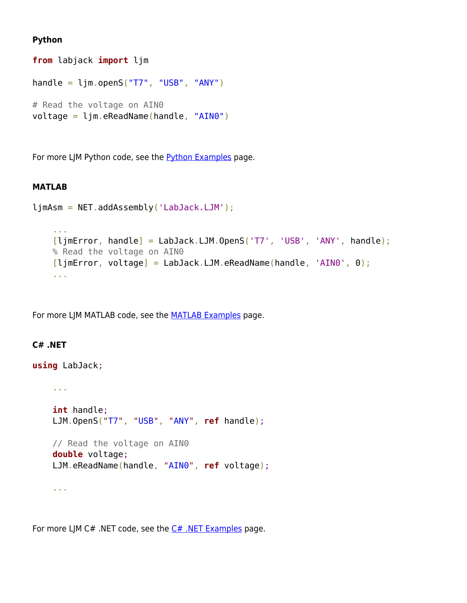#### **Python**

```
from labjack import ljm
handle = \lim_{x \to \infty} openS("T7", "USB", "ANY")
# Read the voltage on AIN0
voltage = ljm.eReadName(handle, "AIN0")
```
For more LJM Python code, see the [Python Examples](https://labjack.com/support/ljm/examples/python) page.

#### **MATLAB**

```
ljmAsm = NET.addAssembly('LabJack.LJM');
```

```
 ...
[ljmError, handle] = LabJack.LJM.OpenS('T7', 'USB', 'ANY', handle);
 % Read the voltage on AIN0
[i]jmError, voltage] = LabJack.LJM.eReadName(handle, 'AIN0', 0);
 ...
```
For more LJM MATLAB code, see the **MATLAB Examples** page.

#### **C# .NET**

```
using LabJack;
     ...
     int handle;
     LJM.OpenS("T7", "USB", "ANY", ref handle);
     // Read the voltage on AIN0
     double voltage;
     LJM.eReadName(handle, "AIN0", ref voltage);
     ...
```
For more LJM C# .NET code, see the  $C#$  .NET Examples page.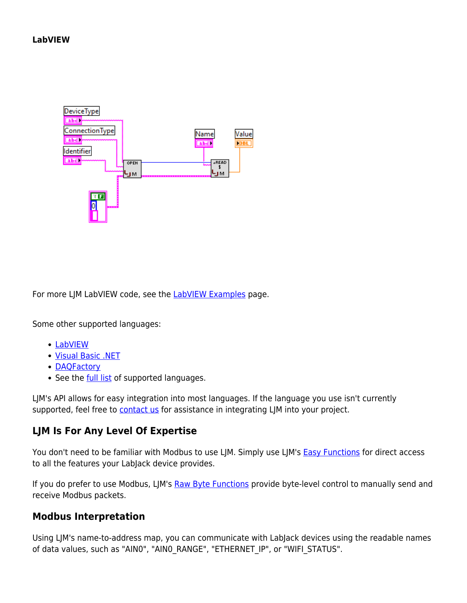

For more LJM LabVIEW code, see the **LabVIEW Examples** page.

Some other supported languages:

- [LabVIEW](https://labjack.com/support/ljm/examples/labview)
- [Visual Basic .NET](https://labjack.com/support/ljm/examples/net)
- [DAQFactory](https://labjack.com/support/ljm/examples/daqfactory)
- See the [full list](https://labjack.com/support/ljm/examples) of supported languages.

LJM's API allows for easy integration into most languages. If the language you use isn't currently supported, feel free to [contact us](https://labjack.com/contact) for assistance in integrating LJM into your project.

### **LJM Is For Any Level Of Expertise**

You don't need to be familiar with Modbus to use LJM. Simply use LJM's **[Easy Functions](https://labjack.com/support/ljm/users-guide/function-reference/easy-functions)** for direct access to all the features your LabJack device provides.

If you do prefer to use Modbus, LJM's [Raw Byte Functions](https://labjack.com/support/ljm/users-guide/function-reference/lowlevel-functions/raw-byte-functions) provide byte-level control to manually send and receive Modbus packets.

### **Modbus Interpretation**

Using LJM's name-to-address map, you can communicate with LabJack devices using the readable names of data values, such as "AIN0", "AIN0\_RANGE", "ETHERNET\_IP", or "WIFI\_STATUS".